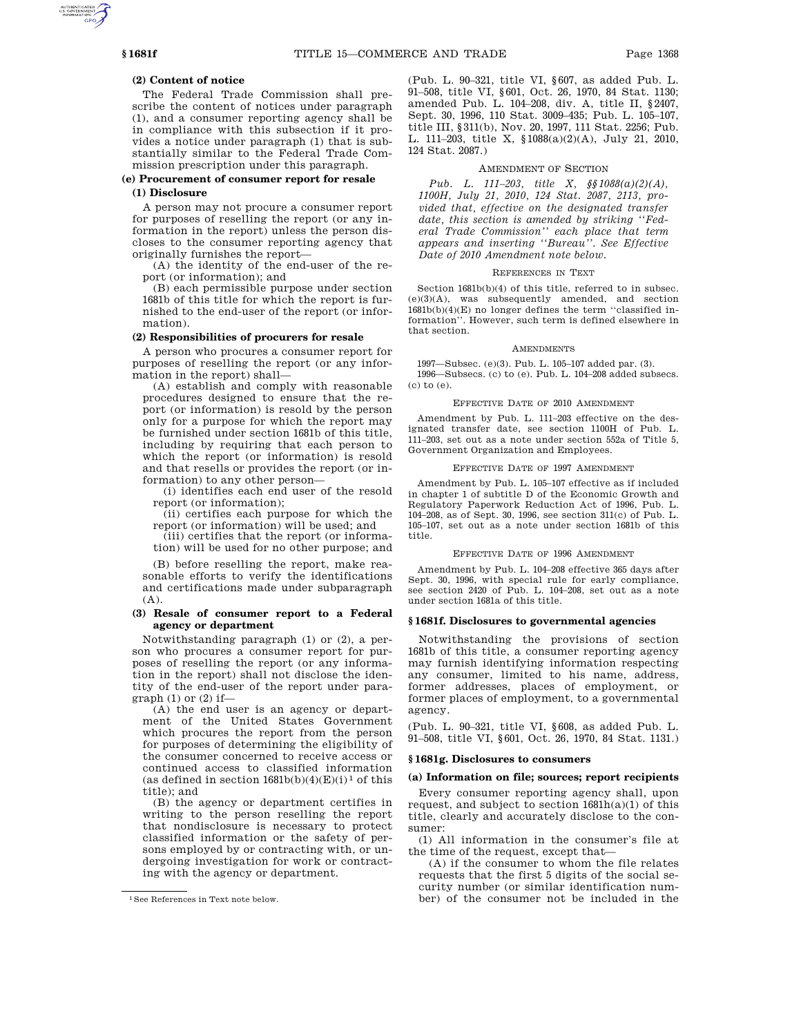## **(2) Content of notice**

The Federal Trade Commission shall prescribe the content of notices under paragraph (1), and a consumer reporting agency shall be in compliance with this subsection if it provides a notice under paragraph (1) that is substantially similar to the Federal Trade Commission prescription under this paragraph.

## **(e) Procurement of consumer report for resale**

## **(1) Disclosure**

A person may not procure a consumer report for purposes of reselling the report (or any information in the report) unless the person discloses to the consumer reporting agency that originally furnishes the report—

(A) the identity of the end-user of the report (or information); and

(B) each permissible purpose under section 1681b of this title for which the report is furnished to the end-user of the report (or information).

### **(2) Responsibilities of procurers for resale**

A person who procures a consumer report for purposes of reselling the report (or any information in the report) shall—

(A) establish and comply with reasonable procedures designed to ensure that the report (or information) is resold by the person only for a purpose for which the report may be furnished under section 1681b of this title, including by requiring that each person to which the report (or information) is resold and that resells or provides the report (or information) to any other person—

(i) identifies each end user of the resold report (or information);

(ii) certifies each purpose for which the report (or information) will be used; and

(iii) certifies that the report (or information) will be used for no other purpose; and

(B) before reselling the report, make reasonable efforts to verify the identifications and certifications made under subparagraph (A).

### **(3) Resale of consumer report to a Federal agency or department**

Notwithstanding paragraph (1) or (2), a person who procures a consumer report for purposes of reselling the report (or any information in the report) shall not disclose the identity of the end-user of the report under paragraph (1) or (2) if—

(A) the end user is an agency or department of the United States Government which procures the report from the person for purposes of determining the eligibility of the consumer concerned to receive access or continued access to classified information (as defined in section  $1681b(b)(4)(E)(i)^1$  of this title); and

(B) the agency or department certifies in writing to the person reselling the report that nondisclosure is necessary to protect classified information or the safety of persons employed by or contracting with, or undergoing investigation for work or contracting with the agency or department.

(Pub. L. 90–321, title VI, §607, as added Pub. L. 91–508, title VI, §601, Oct. 26, 1970, 84 Stat. 1130; amended Pub. L. 104–208, div. A, title II, §2407, Sept. 30, 1996, 110 Stat. 3009–435; Pub. L. 105–107, title III, §311(b), Nov. 20, 1997, 111 Stat. 2256; Pub. L. 111–203, title X, §1088(a)(2)(A), July 21, 2010, 124 Stat. 2087.)

#### AMENDMENT OF SECTION

*Pub. L. 111–203, title X, §§1088(a)(2)(A), 1100H, July 21, 2010, 124 Stat. 2087, 2113, provided that, effective on the designated transfer date, this section is amended by striking ''Federal Trade Commission'' each place that term appears and inserting ''Bureau''. See Effective Date of 2010 Amendment note below.*

### REFERENCES IN TEXT

Section 1681b(b)(4) of this title, referred to in subsec. (e)(3)(A), was subsequently amended, and section 1681b(b)(4)(E) no longer defines the term ''classified information''. However, such term is defined elsewhere in that section.

#### **AMENDMENTS**

1997—Subsec. (e)(3). Pub. L. 105–107 added par. (3). 1996—Subsecs. (c) to (e). Pub. L. 104–208 added subsecs. (c) to (e).

#### EFFECTIVE DATE OF 2010 AMENDMENT

Amendment by Pub. L. 111–203 effective on the designated transfer date, see section 1100H of Pub. L. 111–203, set out as a note under section 552a of Title 5, Government Organization and Employees.

#### EFFECTIVE DATE OF 1997 AMENDMENT

Amendment by Pub. L. 105–107 effective as if included in chapter 1 of subtitle D of the Economic Growth and Regulatory Paperwork Reduction Act of 1996, Pub. L. 104–208, as of Sept. 30, 1996, see section 311(c) of Pub. L. 105–107, set out as a note under section 1681b of this title.

#### EFFECTIVE DATE OF 1996 AMENDMENT

Amendment by Pub. L. 104–208 effective 365 days after Sept. 30, 1996, with special rule for early compliance, see section 2420 of Pub. L. 104–208, set out as a note under section 1681a of this title.

#### **§ 1681f. Disclosures to governmental agencies**

Notwithstanding the provisions of section 1681b of this title, a consumer reporting agency may furnish identifying information respecting any consumer, limited to his name, address, former addresses, places of employment, or former places of employment, to a governmental agency.

(Pub. L. 90–321, title VI, §608, as added Pub. L. 91–508, title VI, §601, Oct. 26, 1970, 84 Stat. 1131.)

#### **§ 1681g. Disclosures to consumers**

# **(a) Information on file; sources; report recipients**

Every consumer reporting agency shall, upon request, and subject to section 1681h(a)(1) of this title, clearly and accurately disclose to the consumer:

(1) All information in the consumer's file at the time of the request, except that—

(A) if the consumer to whom the file relates requests that the first 5 digits of the social security number (or similar identification number) of the consumer not be included in the

<sup>1</sup>See References in Text note below.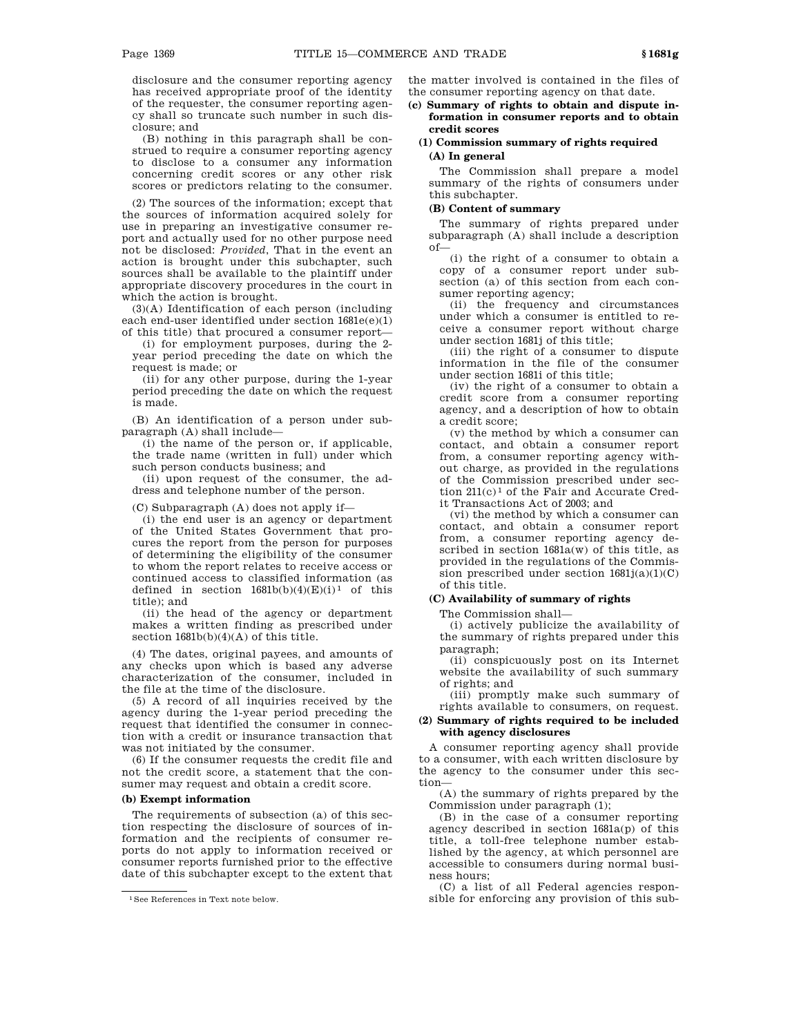disclosure and the consumer reporting agency has received appropriate proof of the identity of the requester, the consumer reporting agency shall so truncate such number in such disclosure; and

(B) nothing in this paragraph shall be construed to require a consumer reporting agency to disclose to a consumer any information concerning credit scores or any other risk scores or predictors relating to the consumer.

(2) The sources of the information; except that the sources of information acquired solely for use in preparing an investigative consumer report and actually used for no other purpose need not be disclosed: *Provided*, That in the event an action is brought under this subchapter, such sources shall be available to the plaintiff under appropriate discovery procedures in the court in which the action is brought.

(3)(A) Identification of each person (including each end-user identified under section 1681e(e)(1) of this title) that procured a consumer report—

(i) for employment purposes, during the 2 year period preceding the date on which the request is made; or

(ii) for any other purpose, during the 1-year period preceding the date on which the request is made.

(B) An identification of a person under subparagraph (A) shall include—

(i) the name of the person or, if applicable, the trade name (written in full) under which such person conducts business; and

(ii) upon request of the consumer, the address and telephone number of the person.

(C) Subparagraph (A) does not apply if—

(i) the end user is an agency or department of the United States Government that procures the report from the person for purposes of determining the eligibility of the consumer to whom the report relates to receive access or continued access to classified information (as defined in section  $1681b(b)(4)(E)(i)^1$  of this title); and

(ii) the head of the agency or department makes a written finding as prescribed under section  $1681b(b)(4)(A)$  of this title.

(4) The dates, original payees, and amounts of any checks upon which is based any adverse characterization of the consumer, included in the file at the time of the disclosure.

(5) A record of all inquiries received by the agency during the 1-year period preceding the request that identified the consumer in connection with a credit or insurance transaction that was not initiated by the consumer.

(6) If the consumer requests the credit file and not the credit score, a statement that the consumer may request and obtain a credit score.

### **(b) Exempt information**

The requirements of subsection (a) of this section respecting the disclosure of sources of information and the recipients of consumer reports do not apply to information received or consumer reports furnished prior to the effective date of this subchapter except to the extent that the matter involved is contained in the files of the consumer reporting agency on that date.

## **(c) Summary of rights to obtain and dispute information in consumer reports and to obtain credit scores**

# **(1) Commission summary of rights required (A) In general**

The Commission shall prepare a model summary of the rights of consumers under this subchapter.

## **(B) Content of summary**

The summary of rights prepared under subparagraph (A) shall include a description of—

(i) the right of a consumer to obtain a copy of a consumer report under subsection (a) of this section from each consumer reporting agency;

(ii) the frequency and circumstances under which a consumer is entitled to receive a consumer report without charge under section 1681j of this title;

(iii) the right of a consumer to dispute information in the file of the consumer under section 1681i of this title;

(iv) the right of a consumer to obtain a credit score from a consumer reporting agency, and a description of how to obtain a credit score;

(v) the method by which a consumer can contact, and obtain a consumer report from, a consumer reporting agency without charge, as provided in the regulations of the Commission prescribed under section  $211(c)^1$  of the Fair and Accurate Credit Transactions Act of 2003; and

(vi) the method by which a consumer can contact, and obtain a consumer report from, a consumer reporting agency described in section 1681a(w) of this title, as provided in the regulations of the Commission prescribed under section  $1681j(a)(1)(C)$ of this title.

### **(C) Availability of summary of rights**

The Commission shall—

(i) actively publicize the availability of the summary of rights prepared under this paragraph;

(ii) conspicuously post on its Internet website the availability of such summary of rights; and

(iii) promptly make such summary of rights available to consumers, on request.

### **(2) Summary of rights required to be included with agency disclosures**

A consumer reporting agency shall provide to a consumer, with each written disclosure by the agency to the consumer under this section—

(A) the summary of rights prepared by the Commission under paragraph (1);

(B) in the case of a consumer reporting agency described in section 1681a(p) of this title, a toll-free telephone number established by the agency, at which personnel are accessible to consumers during normal business hours;

(C) a list of all Federal agencies responsible for enforcing any provision of this sub-

<sup>1</sup>See References in Text note below.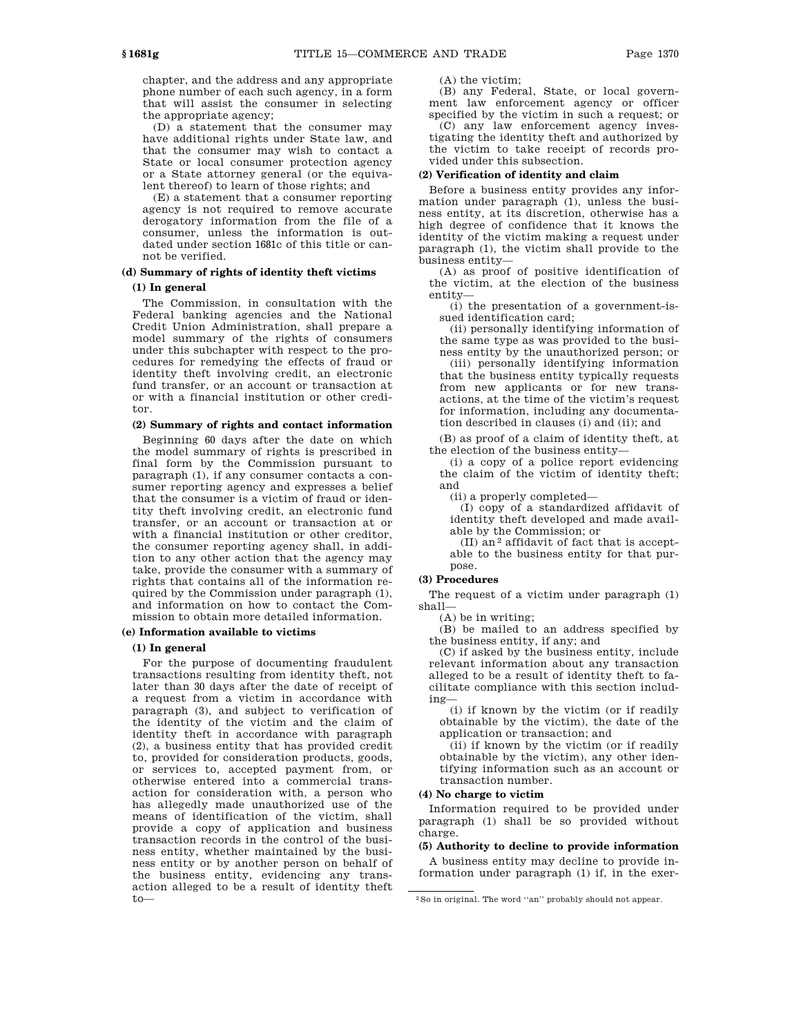chapter, and the address and any appropriate phone number of each such agency, in a form that will assist the consumer in selecting the appropriate agency;

(D) a statement that the consumer may have additional rights under State law, and that the consumer may wish to contact a State or local consumer protection agency or a State attorney general (or the equivalent thereof) to learn of those rights; and

(E) a statement that a consumer reporting agency is not required to remove accurate derogatory information from the file of a consumer, unless the information is outdated under section 1681c of this title or cannot be verified.

# **(d) Summary of rights of identity theft victims**

# **(1) In general**

The Commission, in consultation with the Federal banking agencies and the National Credit Union Administration, shall prepare a model summary of the rights of consumers under this subchapter with respect to the procedures for remedying the effects of fraud or identity theft involving credit, an electronic fund transfer, or an account or transaction at or with a financial institution or other creditor.

## **(2) Summary of rights and contact information**

Beginning 60 days after the date on which the model summary of rights is prescribed in final form by the Commission pursuant to paragraph (1), if any consumer contacts a consumer reporting agency and expresses a belief that the consumer is a victim of fraud or identity theft involving credit, an electronic fund transfer, or an account or transaction at or with a financial institution or other creditor, the consumer reporting agency shall, in addition to any other action that the agency may take, provide the consumer with a summary of rights that contains all of the information required by the Commission under paragraph (1), and information on how to contact the Commission to obtain more detailed information.

## **(e) Information available to victims**

## **(1) In general**

For the purpose of documenting fraudulent transactions resulting from identity theft, not later than 30 days after the date of receipt of a request from a victim in accordance with paragraph (3), and subject to verification of the identity of the victim and the claim of identity theft in accordance with paragraph (2), a business entity that has provided credit to, provided for consideration products, goods, or services to, accepted payment from, or otherwise entered into a commercial transaction for consideration with, a person who has allegedly made unauthorized use of the means of identification of the victim, shall provide a copy of application and business transaction records in the control of the business entity, whether maintained by the business entity or by another person on behalf of the business entity, evidencing any transaction alleged to be a result of identity theft to(A) the victim;

(B) any Federal, State, or local government law enforcement agency or officer specified by the victim in such a request; or

(C) any law enforcement agency investigating the identity theft and authorized by the victim to take receipt of records provided under this subsection.

### **(2) Verification of identity and claim**

Before a business entity provides any information under paragraph  $(1)$ , unless the business entity, at its discretion, otherwise has a high degree of confidence that it knows the identity of the victim making a request under paragraph (1), the victim shall provide to the business entity—

(A) as proof of positive identification of the victim, at the election of the business entity—

(i) the presentation of a government-issued identification card;

(ii) personally identifying information of the same type as was provided to the business entity by the unauthorized person; or

(iii) personally identifying information that the business entity typically requests from new applicants or for new transactions, at the time of the victim's request for information, including any documentation described in clauses (i) and (ii); and

(B) as proof of a claim of identity theft, at the election of the business entity—

(i) a copy of a police report evidencing the claim of the victim of identity theft; and

(ii) a properly completed—

(I) copy of a standardized affidavit of identity theft developed and made available by the Commission; or

(II) an2 affidavit of fact that is acceptable to the business entity for that purpose.

## **(3) Procedures**

The request of a victim under paragraph (1) shall—

(A) be in writing;

(B) be mailed to an address specified by the business entity, if any; and

(C) if asked by the business entity, include relevant information about any transaction alleged to be a result of identity theft to facilitate compliance with this section including—

(i) if known by the victim (or if readily obtainable by the victim), the date of the application or transaction; and

(ii) if known by the victim (or if readily obtainable by the victim), any other identifying information such as an account or transaction number.

### **(4) No charge to victim**

Information required to be provided under paragraph (1) shall be so provided without charge.

## **(5) Authority to decline to provide information**

A business entity may decline to provide information under paragraph (1) if, in the exer-

<sup>2</sup>So in original. The word ''an'' probably should not appear.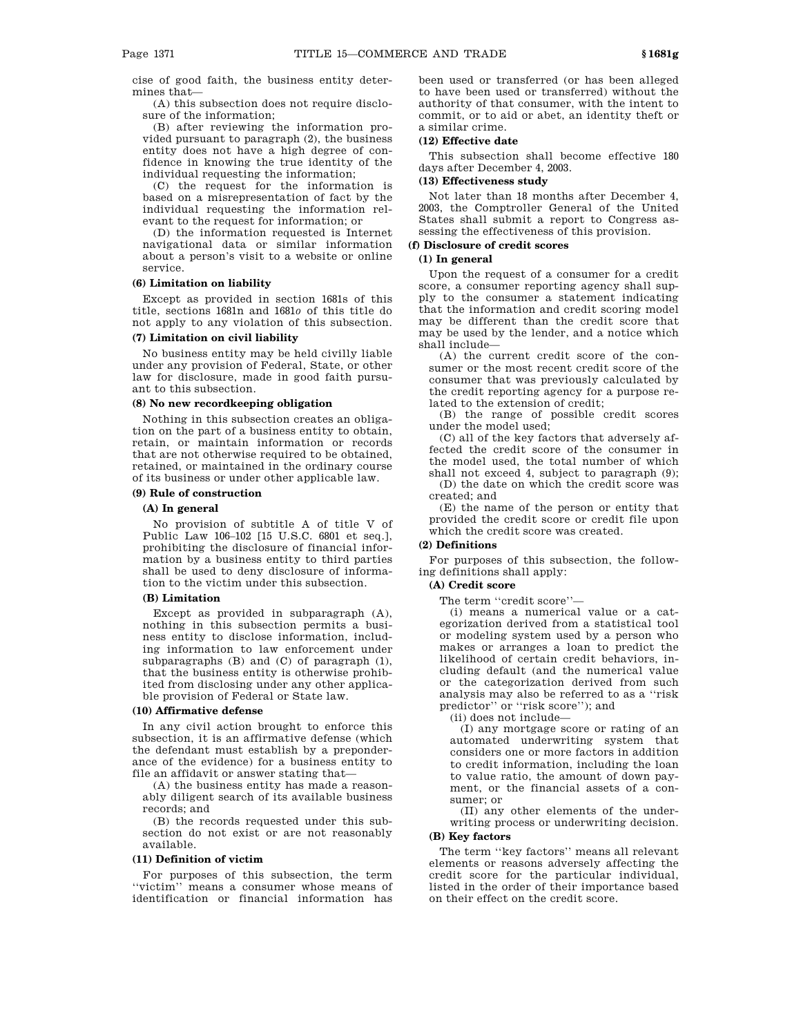cise of good faith, the business entity determines that—

(A) this subsection does not require disclosure of the information;

(B) after reviewing the information provided pursuant to paragraph (2), the business entity does not have a high degree of confidence in knowing the true identity of the individual requesting the information;

(C) the request for the information is based on a misrepresentation of fact by the individual requesting the information relevant to the request for information; or

(D) the information requested is Internet navigational data or similar information about a person's visit to a website or online service.

### **(6) Limitation on liability**

Except as provided in section 1681s of this title, sections 1681n and 1681*o* of this title do not apply to any violation of this subsection.

## **(7) Limitation on civil liability**

No business entity may be held civilly liable under any provision of Federal, State, or other law for disclosure, made in good faith pursuant to this subsection.

## **(8) No new recordkeeping obligation**

Nothing in this subsection creates an obligation on the part of a business entity to obtain, retain, or maintain information or records that are not otherwise required to be obtained, retained, or maintained in the ordinary course of its business or under other applicable law.

## **(9) Rule of construction**

# **(A) In general**

No provision of subtitle A of title V of Public Law 106–102 [15 U.S.C. 6801 et seq.], prohibiting the disclosure of financial information by a business entity to third parties shall be used to deny disclosure of information to the victim under this subsection.

### **(B) Limitation**

Except as provided in subparagraph (A), nothing in this subsection permits a business entity to disclose information, including information to law enforcement under subparagraphs (B) and (C) of paragraph (1), that the business entity is otherwise prohibited from disclosing under any other applicable provision of Federal or State law.

### **(10) Affirmative defense**

In any civil action brought to enforce this subsection, it is an affirmative defense (which the defendant must establish by a preponderance of the evidence) for a business entity to file an affidavit or answer stating that—

(A) the business entity has made a reasonably diligent search of its available business records; and

(B) the records requested under this subsection do not exist or are not reasonably available.

### **(11) Definition of victim**

For purposes of this subsection, the term ''victim'' means a consumer whose means of identification or financial information has

been used or transferred (or has been alleged to have been used or transferred) without the authority of that consumer, with the intent to commit, or to aid or abet, an identity theft or a similar crime.

### **(12) Effective date**

This subsection shall become effective 180 days after December 4, 2003.

### **(13) Effectiveness study**

Not later than 18 months after December 4, 2003, the Comptroller General of the United States shall submit a report to Congress assessing the effectiveness of this provision.

# **(f) Disclosure of credit scores**

# **(1) In general**

Upon the request of a consumer for a credit score, a consumer reporting agency shall supply to the consumer a statement indicating that the information and credit scoring model may be different than the credit score that may be used by the lender, and a notice which shall include—

(A) the current credit score of the consumer or the most recent credit score of the consumer that was previously calculated by the credit reporting agency for a purpose related to the extension of credit;

(B) the range of possible credit scores under the model used;

(C) all of the key factors that adversely affected the credit score of the consumer in the model used, the total number of which shall not exceed 4, subject to paragraph (9); (D) the date on which the credit score was

created; and (E) the name of the person or entity that

provided the credit score or credit file upon which the credit score was created.

## **(2) Definitions**

For purposes of this subsection, the following definitions shall apply:

### **(A) Credit score**

The term "credit score"-

(i) means a numerical value or a categorization derived from a statistical tool or modeling system used by a person who makes or arranges a loan to predict the likelihood of certain credit behaviors, including default (and the numerical value or the categorization derived from such analysis may also be referred to as a ''risk predictor'' or ''risk score''); and

(ii) does not include—

(I) any mortgage score or rating of an automated underwriting system that considers one or more factors in addition to credit information, including the loan to value ratio, the amount of down payment, or the financial assets of a consumer; or

(II) any other elements of the underwriting process or underwriting decision.

# **(B) Key factors**

The term ''key factors'' means all relevant elements or reasons adversely affecting the credit score for the particular individual, listed in the order of their importance based on their effect on the credit score.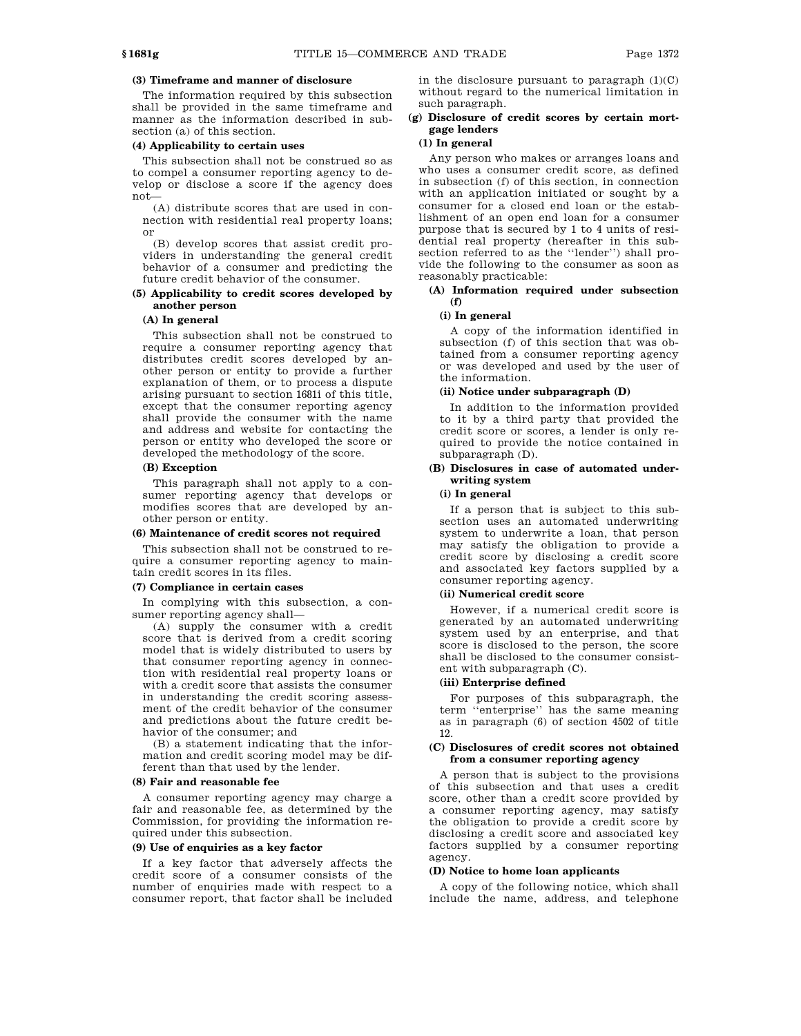## **(3) Timeframe and manner of disclosure**

The information required by this subsection shall be provided in the same timeframe and manner as the information described in subsection (a) of this section.

# **(4) Applicability to certain uses**

This subsection shall not be construed so as to compel a consumer reporting agency to develop or disclose a score if the agency does not—

(A) distribute scores that are used in connection with residential real property loans; or

(B) develop scores that assist credit providers in understanding the general credit behavior of a consumer and predicting the future credit behavior of the consumer.

## **(5) Applicability to credit scores developed by another person**

## **(A) In general**

This subsection shall not be construed to require a consumer reporting agency that distributes credit scores developed by another person or entity to provide a further explanation of them, or to process a dispute arising pursuant to section 1681i of this title, except that the consumer reporting agency shall provide the consumer with the name and address and website for contacting the person or entity who developed the score or developed the methodology of the score.

#### **(B) Exception**

This paragraph shall not apply to a consumer reporting agency that develops or modifies scores that are developed by another person or entity.

# **(6) Maintenance of credit scores not required**

This subsection shall not be construed to require a consumer reporting agency to maintain credit scores in its files.

### **(7) Compliance in certain cases**

In complying with this subsection, a consumer reporting agency shall—

(A) supply the consumer with a credit score that is derived from a credit scoring model that is widely distributed to users by that consumer reporting agency in connection with residential real property loans or with a credit score that assists the consumer in understanding the credit scoring assessment of the credit behavior of the consumer and predictions about the future credit behavior of the consumer; and

(B) a statement indicating that the information and credit scoring model may be different than that used by the lender.

### **(8) Fair and reasonable fee**

A consumer reporting agency may charge a fair and reasonable fee, as determined by the Commission, for providing the information required under this subsection.

### **(9) Use of enquiries as a key factor**

If a key factor that adversely affects the credit score of a consumer consists of the number of enquiries made with respect to a consumer report, that factor shall be included in the disclosure pursuant to paragraph  $(1)(C)$ without regard to the numerical limitation in such paragraph.

## **(g) Disclosure of credit scores by certain mortgage lenders**

# **(1) In general**

Any person who makes or arranges loans and who uses a consumer credit score, as defined in subsection (f) of this section, in connection with an application initiated or sought by a consumer for a closed end loan or the establishment of an open end loan for a consumer purpose that is secured by 1 to 4 units of residential real property (hereafter in this subsection referred to as the "lender") shall provide the following to the consumer as soon as reasonably practicable:

## **(A) Information required under subsection (f)**

# **(i) In general**

A copy of the information identified in subsection (f) of this section that was obtained from a consumer reporting agency or was developed and used by the user of the information.

# **(ii) Notice under subparagraph (D)**

In addition to the information provided to it by a third party that provided the credit score or scores, a lender is only required to provide the notice contained in subparagraph (D).

## **(B) Disclosures in case of automated underwriting system**

# **(i) In general**

If a person that is subject to this subsection uses an automated underwriting system to underwrite a loan, that person may satisfy the obligation to provide a credit score by disclosing a credit score and associated key factors supplied by a consumer reporting agency.

# **(ii) Numerical credit score**

However, if a numerical credit score is generated by an automated underwriting system used by an enterprise, and that score is disclosed to the person, the score shall be disclosed to the consumer consistent with subparagraph (C).

## **(iii) Enterprise defined**

For purposes of this subparagraph, the term ''enterprise'' has the same meaning as in paragraph (6) of section 4502 of title 12.

## **(C) Disclosures of credit scores not obtained from a consumer reporting agency**

A person that is subject to the provisions of this subsection and that uses a credit score, other than a credit score provided by a consumer reporting agency, may satisfy the obligation to provide a credit score by disclosing a credit score and associated key factors supplied by a consumer reporting agency.

# **(D) Notice to home loan applicants**

A copy of the following notice, which shall include the name, address, and telephone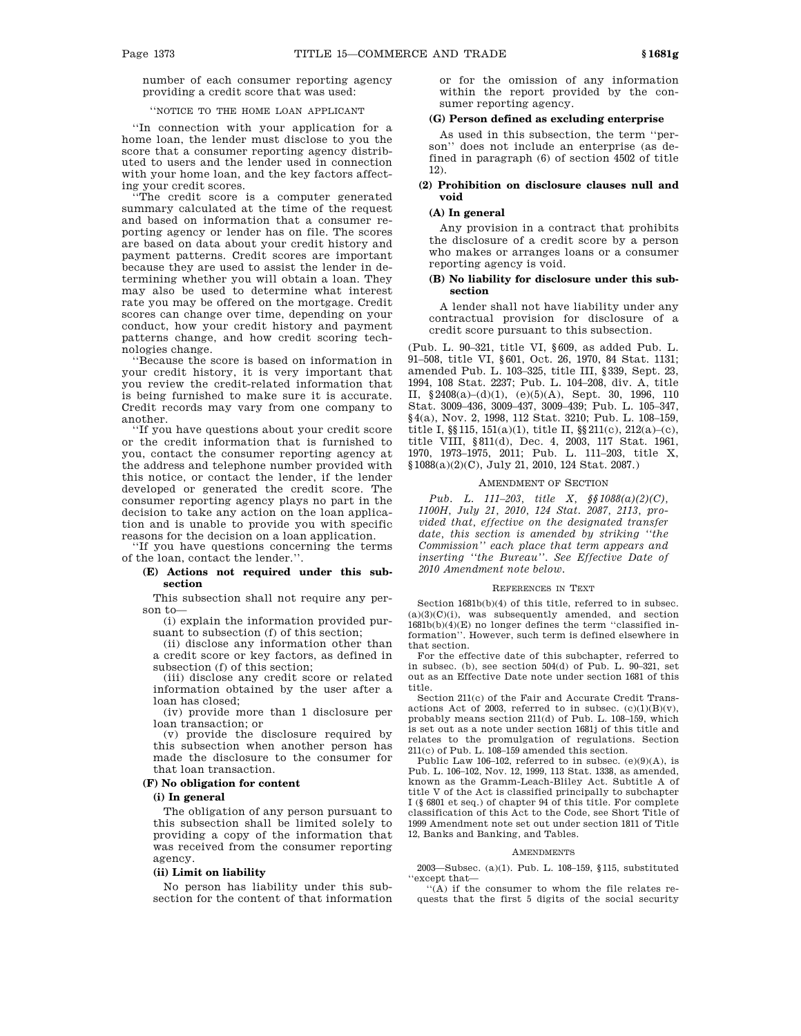number of each consumer reporting agency providing a credit score that was used:

## ''NOTICE TO THE HOME LOAN APPLICANT

''In connection with your application for a home loan, the lender must disclose to you the score that a consumer reporting agency distributed to users and the lender used in connection with your home loan, and the key factors affecting your credit scores.

''The credit score is a computer generated summary calculated at the time of the request and based on information that a consumer reporting agency or lender has on file. The scores are based on data about your credit history and payment patterns. Credit scores are important because they are used to assist the lender in determining whether you will obtain a loan. They may also be used to determine what interest rate you may be offered on the mortgage. Credit scores can change over time, depending on your conduct, how your credit history and payment patterns change, and how credit scoring technologies change.

''Because the score is based on information in your credit history, it is very important that you review the credit-related information that is being furnished to make sure it is accurate. Credit records may vary from one company to another.

''If you have questions about your credit score or the credit information that is furnished to you, contact the consumer reporting agency at the address and telephone number provided with this notice, or contact the lender, if the lender developed or generated the credit score. The consumer reporting agency plays no part in the decision to take any action on the loan application and is unable to provide you with specific reasons for the decision on a loan application.

''If you have questions concerning the terms of the loan, contact the lender.''.

### **(E) Actions not required under this subsection**

This subsection shall not require any person to—

(i) explain the information provided pursuant to subsection (f) of this section;

(ii) disclose any information other than a credit score or key factors, as defined in subsection (f) of this section;

(iii) disclose any credit score or related information obtained by the user after a loan has closed;

(iv) provide more than 1 disclosure per loan transaction; or

(v) provide the disclosure required by this subsection when another person has made the disclosure to the consumer for that loan transaction.

### **(F) No obligation for content**

## **(i) In general**

The obligation of any person pursuant to this subsection shall be limited solely to providing a copy of the information that was received from the consumer reporting agency.

#### **(ii) Limit on liability**

No person has liability under this subsection for the content of that information or for the omission of any information within the report provided by the consumer reporting agency.

### **(G) Person defined as excluding enterprise**

As used in this subsection, the term ''person'' does not include an enterprise (as defined in paragraph (6) of section 4502 of title 12).

## **(2) Prohibition on disclosure clauses null and void**

# **(A) In general**

Any provision in a contract that prohibits the disclosure of a credit score by a person who makes or arranges loans or a consumer reporting agency is void.

## **(B) No liability for disclosure under this subsection**

A lender shall not have liability under any contractual provision for disclosure of a credit score pursuant to this subsection.

(Pub. L. 90–321, title VI, §609, as added Pub. L. 91–508, title VI, §601, Oct. 26, 1970, 84 Stat. 1131; amended Pub. L. 103–325, title III, §339, Sept. 23, 1994, 108 Stat. 2237; Pub. L. 104–208, div. A, title II, §2408(a)–(d)(1), (e)(5)(A), Sept. 30, 1996, 110 Stat. 3009–436, 3009–437, 3009–439; Pub. L. 105–347, §4(a), Nov. 2, 1998, 112 Stat. 3210; Pub. L. 108–159, title I, §§115, 151(a)(1), title II, §§211(c), 212(a)–(c), title VIII, §811(d), Dec. 4, 2003, 117 Stat. 1961, 1970, 1973–1975, 2011; Pub. L. 111–203, title X, §1088(a)(2)(C), July 21, 2010, 124 Stat. 2087.)

## AMENDMENT OF SECTION

*Pub. L. 111–203, title X, §§1088(a)(2)(C), 1100H, July 21, 2010, 124 Stat. 2087, 2113, provided that, effective on the designated transfer date, this section is amended by striking ''the Commission'' each place that term appears and inserting ''the Bureau''. See Effective Date of 2010 Amendment note below.*

### REFERENCES IN TEXT

Section 1681b(b)(4) of this title, referred to in subsec.  $(a)(3)(C)(i)$ , was subsequently amended, and section 1681b(b)(4)(E) no longer defines the term ''classified information''. However, such term is defined elsewhere in that section.

For the effective date of this subchapter, referred to in subsec. (b), see section 504(d) of Pub. L. 90–321, set out as an Effective Date note under section 1681 of this title.

Section 211(c) of the Fair and Accurate Credit Transactions Act of 2003, referred to in subsec.  $(c)(1)(B)(v)$ , probably means section 211(d) of Pub. L. 108–159, which is set out as a note under section 1681j of this title and relates to the promulgation of regulations. Section 211(c) of Pub. L. 108–159 amended this section.

Public Law 106–102, referred to in subsec.  $(e)(9)(A)$ , is Pub. L. 106–102, Nov. 12, 1999, 113 Stat. 1338, as amended, known as the Gramm-Leach-Bliley Act. Subtitle A of title V of the Act is classified principally to subchapter I (§ 6801 et seq.) of chapter 94 of this title. For complete classification of this Act to the Code, see Short Title of 1999 Amendment note set out under section 1811 of Title 12, Banks and Banking, and Tables.

#### **AMENDMENTS**

2003—Subsec. (a)(1). Pub. L. 108–159, §115, substituted 'except that-

''(A) if the consumer to whom the file relates requests that the first 5 digits of the social security